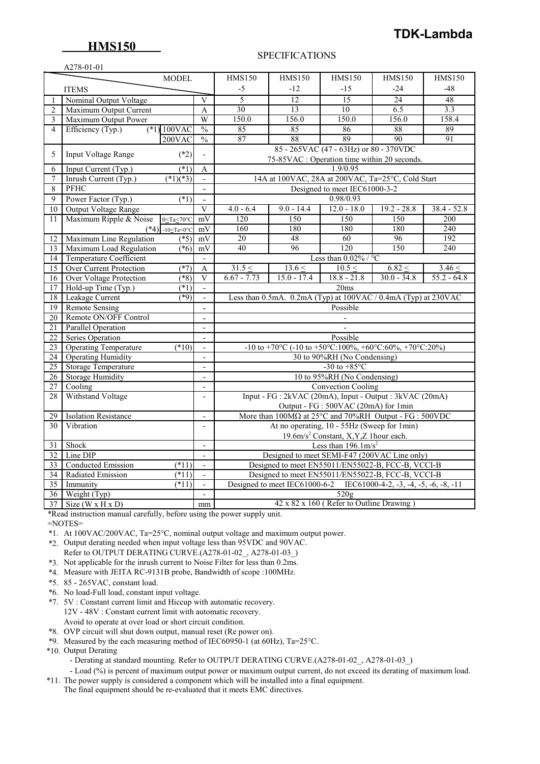## **HMS150**

# **TDK-Lambda**

### A278-01-01

### SPECIFICATIONS

| $11270 - 0121$<br><b>MODEL</b> |                                                                             |                          | <b>HMS150</b>                                                                  | <b>HMS150</b>                                                  | <b>HMS150</b>                          | <b>HMS150</b> | <b>HMS150</b> |  |  |
|--------------------------------|-----------------------------------------------------------------------------|--------------------------|--------------------------------------------------------------------------------|----------------------------------------------------------------|----------------------------------------|---------------|---------------|--|--|
|                                |                                                                             |                          | -5                                                                             | $-12$                                                          | $-15$                                  | $-24$         | $-48$         |  |  |
|                                | <b>ITEMS</b>                                                                |                          |                                                                                |                                                                |                                        |               |               |  |  |
|                                | Nominal Output Voltage                                                      | V                        | 5<br>30                                                                        | $\overline{12}$<br>13                                          | 15<br>10                               | 24<br>6.5     | 48<br>3.3     |  |  |
| 2<br>3                         | Maximum Output Current                                                      | A<br>W                   | 150.0                                                                          | 156.0                                                          | 150.0                                  | 156.0         | 158.4         |  |  |
| $\overline{4}$                 | Maximum Output Power                                                        | $\frac{0}{0}$            | 85                                                                             | 85                                                             | 86                                     | 88            | 89            |  |  |
|                                | Efficiency (Typ.)<br>$(*1) 100$ VAC                                         | $\frac{0}{0}$            | 87                                                                             | 88                                                             | 89                                     | 90            | 91            |  |  |
|                                | $200$ VAC                                                                   |                          |                                                                                |                                                                | 85 - 265VAC (47 - 63Hz) or 80 - 370VDC |               |               |  |  |
| 5                              | $(*2)$<br>Input Voltage Range                                               | $\overline{a}$           |                                                                                |                                                                |                                        |               |               |  |  |
|                                | $(*1)$                                                                      | A                        |                                                                                | 75-85VAC : Operation time within 20 seconds.<br>1.9/0.95       |                                        |               |               |  |  |
| 6<br>7                         | Input Current (Typ.)<br>$(*1)(*3)$<br>Inrush Current (Typ.)                 | $\mathbf{r}$             |                                                                                | 14A at 100VAC, 28A at 200VAC, Ta=25°C, Cold Start              |                                        |               |               |  |  |
| 8                              | PFHC                                                                        | $\mathbf{v}$             |                                                                                |                                                                | Designed to meet IEC61000-3-2          |               |               |  |  |
| $\overline{9}$                 | Power Factor (Typ.)<br>(1)                                                  |                          |                                                                                |                                                                | 0.98/0.93                              |               |               |  |  |
|                                |                                                                             | $\overline{V}$           | $4.0 - 6.4$                                                                    | $9.0 - 14.4$                                                   | $12.0 - 18.0$                          | $19.2 - 28.8$ | $38.4 - 52.8$ |  |  |
| $\overline{10}$                | Output Voltage Range                                                        |                          | 120                                                                            | 150                                                            | 150                                    | 150           | 200           |  |  |
| 11                             | Maximum Ripple & Noise<br>$0 \leq Ta \leq 70^{\circ}C$                      | mV<br>mV                 | 160                                                                            | 180                                                            | 180                                    | 180           | 240           |  |  |
| 12                             | $(*4)$<br>-10 $\leq$ Ta<0 $\degree$ C<br>Maximum Line Regulation<br>$( *5)$ | mV                       | 20                                                                             | 48                                                             | 60                                     | 96            | 192           |  |  |
| 13                             | Maximum Load Regulation<br>$(*6)$                                           | mV                       | 40                                                                             | 96                                                             | 120                                    | 150           | 240           |  |  |
| $\overline{14}$                | <b>Temperature Coefficient</b>                                              | $\mathbf{r}$             |                                                                                |                                                                | Less than $0.02\%$ / °C                |               |               |  |  |
| $\overline{15}$                | $(*7)$<br>Over Current Protection                                           | $\overline{A}$           | $31.5 \leq$                                                                    | $13.6 \leq$                                                    | $10.5 \leq$                            | $6.82 \leq$   | $3.46 \le$    |  |  |
| 16                             | Over Voltage Protection<br>$(8^*)$                                          | $\overline{V}$           | $6.67 - 7.73$                                                                  | $15.0 - 17.4$                                                  | $18.8 - 21.8$                          | $30.0 - 34.8$ | $55.2 - 64.8$ |  |  |
| 17                             | Hold-up Time (Typ.)<br>$(\ast 1)$                                           | $\blacksquare$           |                                                                                |                                                                | 20ms                                   |               |               |  |  |
| $\overline{18}$                | Leakage Current<br>*9)                                                      |                          |                                                                                | Less than 0.5mA. 0.2mA (Typ) at 100VAC / 0.4mA (Typ) at 230VAC |                                        |               |               |  |  |
| 19                             | <b>Remote Sensing</b>                                                       | $\mathbf{r}$             |                                                                                |                                                                | Possible                               |               |               |  |  |
| 20                             | Remote ON/OFF Control                                                       | $\overline{a}$           |                                                                                |                                                                |                                        |               |               |  |  |
| 21                             | Parallel Operation                                                          | $\overline{a}$           |                                                                                |                                                                |                                        |               |               |  |  |
| $\overline{22}$                | <b>Series Operation</b>                                                     | $\overline{a}$           | Possible                                                                       |                                                                |                                        |               |               |  |  |
| $\overline{23}$                | <b>Operating Temperature</b><br>(10)                                        | $\overline{\phantom{a}}$ | -10 to +70°C (-10 to +50°C:100%, +60°C:60%, +70°C:20%)                         |                                                                |                                        |               |               |  |  |
| 24                             | <b>Operating Humidity</b>                                                   | $\blacksquare$           | 30 to 90%RH (No Condensing)                                                    |                                                                |                                        |               |               |  |  |
| 25                             | <b>Storage Temperature</b>                                                  | $\sim$                   | -30 to $+85^{\circ}$ C                                                         |                                                                |                                        |               |               |  |  |
| 26                             | <b>Storage Humidity</b>                                                     | $\mathbf{r}$             | 10 to 95%RH (No Condensing)                                                    |                                                                |                                        |               |               |  |  |
| $27\,$                         | Cooling                                                                     | $\blacksquare$           | <b>Convection Cooling</b>                                                      |                                                                |                                        |               |               |  |  |
| 28                             | Withstand Voltage                                                           | $\overline{a}$           | Input - FG : 2kVAC (20mA), Input - Output : 3kVAC (20mA)                       |                                                                |                                        |               |               |  |  |
|                                |                                                                             |                          | Output - FG : 500VAC (20mA) for 1min                                           |                                                                |                                        |               |               |  |  |
| 29                             | <b>Isolation Resistance</b>                                                 | $\overline{\phantom{a}}$ | More than $100M\Omega$ at $25^{\circ}$ C and $70\%$ RH Output - FG : $500$ VDC |                                                                |                                        |               |               |  |  |
| Vibration<br>30                |                                                                             |                          | At no operating, 10 - 55Hz (Sweep for 1min)                                    |                                                                |                                        |               |               |  |  |
|                                |                                                                             |                          | 19.6m/s <sup>2</sup> Constant, X, Y, Z 1 hour each.                            |                                                                |                                        |               |               |  |  |
| 31                             | Shock                                                                       | $\blacksquare$           | Less than $196.1 \text{m/s}^2$                                                 |                                                                |                                        |               |               |  |  |
| 32                             | Line DIP                                                                    | $\sim$                   | Designed to meet SEMI-F47 (200VAC Line only)                                   |                                                                |                                        |               |               |  |  |
| 33                             | <b>Conducted Emission</b><br>(11)                                           | $\blacksquare$           | Designed to meet EN55011/EN55022-B, FCC-B, VCCI-B                              |                                                                |                                        |               |               |  |  |
| $\overline{34}$                | $(*11)$<br>Radiated Emission                                                | $\overline{\phantom{a}}$ | Designed to meet EN55011/EN55022-B, FCC-B, VCCI-B                              |                                                                |                                        |               |               |  |  |
| $\overline{35}$                | (11)<br>Immunity                                                            | $\overline{a}$           | Designed to meet IEC61000-6-2 IEC61000-4-2, -3, -4, -5, -6, -8, -11            |                                                                |                                        |               |               |  |  |
| $\overline{36}$                | Weight (Typ)                                                                | $\overline{\phantom{a}}$ | 520g                                                                           |                                                                |                                        |               |               |  |  |
| 37                             | Size ( $W \times H \times D$ )                                              | mm                       | $42 \times 82 \times 160$ (Refer to Outline Drawing)                           |                                                                |                                        |               |               |  |  |

\*Read instruction manual carefully, before using the power supply unit.

 $=$ NOTES $=$ 

\*1. At 100VAC/200VAC, Ta=25°C, nominal output voltage and maximum output power.

- \*2. Output derating needed when input voltage less than 95VDC and 90VAC. Refer to OUTPUT DERATING CURVE.(A278-01-02\_, A278-01-03\_)
- \*3. Not applicable for the inrush current to Noise Filter for less than 0.2ms.
- \*4. Measure with JEITA RC-9131B probe, Bandwidth of scope :100MHz.
- \*5. 85 265VAC, constant load.
- \*6. No load-Full load, constant input voltage.
- \*7. 5V : Constant current limit and Hiccup with automatic recovery. 12V - 48V : Constant current limit with automatic recovery. Avoid to operate at over load or short circuit condition.
- \*8. OVP circuit will shut down output, manual reset (Re power on).
- \*9. Measured by the each measuring method of IEC60950-1 (at 60Hz), Ta=25°C.
- \*10. Output Derating
	- Derating at standard mounting. Refer to OUTPUT DERATING CURVE.(A278-01-02, A278-01-03)
- Load (%) is percent of maximum output power or maximum output current, do not exceed its derating of maximum load. \*11. The power supply is considered a component which will be installed into a final equipment.

The final equipment should be re-evaluated that it meets EMC directives.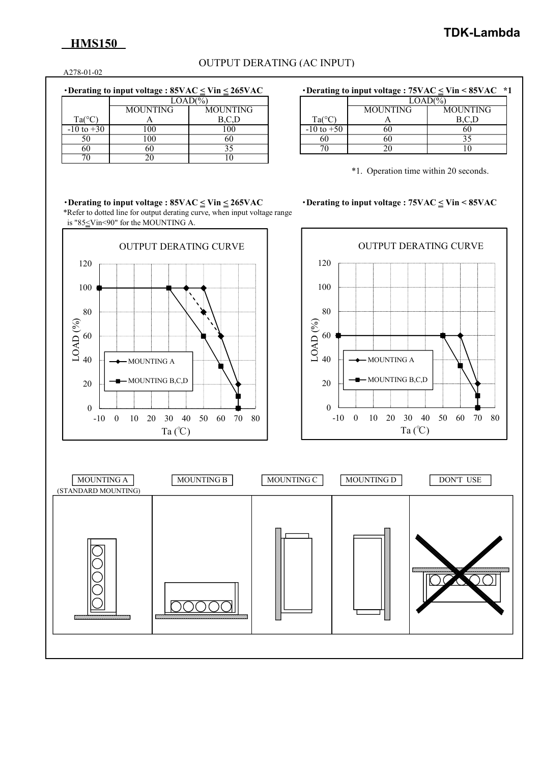# **HMS150**

## OUTPUT DERATING (AC INPUT)

A278-01-02

| Derating to input voltage : $85\text{VAC} \leq \text{Vir} \leq 265\text{VAC}$ |  |
|-------------------------------------------------------------------------------|--|
|-------------------------------------------------------------------------------|--|

|                 | $LOAD(\% )$     |          |  |                 | LOAD(%)         |         |
|-----------------|-----------------|----------|--|-----------------|-----------------|---------|
|                 | <b>MOUNTING</b> | MOUNTING |  |                 | <b>MOUNTING</b> | MOUNTI  |
| $Ta(^{\circ}C)$ |                 | D.V.D    |  | $Ta(^{\circ}C)$ |                 | D, C, D |
| $-10$ to $+30$  | 100             | 100      |  | $-10$ to $+50$  | ωO              | 60      |
| 50              | 100             | 60       |  | 60              | 60              |         |
| 60              | 60              |          |  | 70              |                 |         |
| 70              | 20              | 10       |  |                 |                 |         |

## $\cdot$ **Derating to input voltage : 75VAC**  $\leq$  **Vin**  $\leq$  **85VAC**  $\cdot$  **\*1**

| $\text{LOAD}$ (%) |          | $LOAD(\% )$ |                 |          |
|-------------------|----------|-------------|-----------------|----------|
| MOUNTING          | MOUNTING |             | <b>MOUNTING</b> | MOUNTING |
|                   |          | Ta(°C       |                 |          |
| 100               | $_{00}$  | 10 to +50   | ou              | 60       |
| 100               | 60       | 60          | ou              | ں ر      |
| 60                |          | 70          |                 | 1 V      |

\*1. Operation time within 20 seconds.

・**Derating to input voltage : 85VAC < Vin < 265VAC** ・**Derating to input voltage : 75VAC < Vin < 85VAC** \*Refer to dotted line for output derating curve, when input voltage range is " $85 \leq$ Vin<90" for the MOUNTING A.